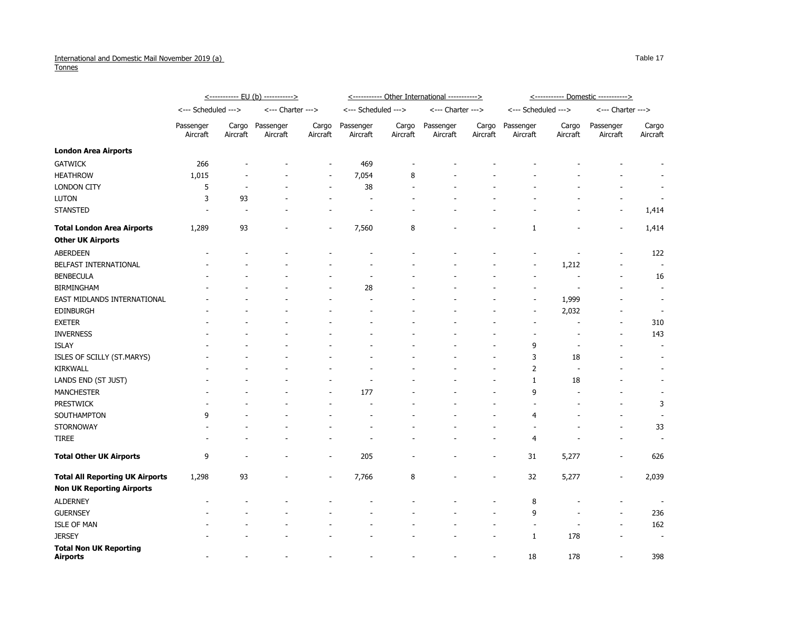## International and Domestic Mail November 2019 (a) **Tonnes**

|                                                  | <----------- EU (b) -----------> |                          |                          |                          | <----------- Other International -----------> |                          |                       |                          | <----------- Domestic -----------> |                   |                          |                          |
|--------------------------------------------------|----------------------------------|--------------------------|--------------------------|--------------------------|-----------------------------------------------|--------------------------|-----------------------|--------------------------|------------------------------------|-------------------|--------------------------|--------------------------|
|                                                  | <--- Scheduled --->              |                          | <--- Charter --->        |                          | <--- Scheduled --->                           |                          | <--- Charter --->     |                          | <--- Scheduled --->                |                   | <--- Charter --->        |                          |
|                                                  | Passenger<br>Aircraft            | Cargo<br>Aircraft        | Passenger<br>Aircraft    | Cargo<br>Aircraft        | Passenger<br>Aircraft                         | Cargo<br>Aircraft        | Passenger<br>Aircraft | Cargo<br>Aircraft        | Passenger<br>Aircraft              | Cargo<br>Aircraft | Passenger<br>Aircraft    | Cargo<br>Aircraft        |
| <b>London Area Airports</b>                      |                                  |                          |                          |                          |                                               |                          |                       |                          |                                    |                   |                          |                          |
| <b>GATWICK</b>                                   | 266                              |                          |                          |                          | 469                                           |                          |                       |                          |                                    |                   |                          |                          |
| <b>HEATHROW</b>                                  | 1,015                            |                          |                          |                          | 7,054                                         | 8                        |                       |                          |                                    |                   |                          |                          |
| <b>LONDON CITY</b>                               | 5                                |                          |                          |                          | 38                                            |                          |                       |                          |                                    |                   |                          |                          |
| <b>LUTON</b>                                     | 3                                | 93                       |                          |                          | $\overline{\phantom{a}}$                      |                          |                       |                          |                                    |                   |                          |                          |
| <b>STANSTED</b>                                  |                                  |                          |                          |                          |                                               |                          |                       |                          |                                    |                   | $\overline{\phantom{a}}$ | 1,414                    |
| <b>Total London Area Airports</b>                | 1,289                            | 93                       |                          |                          | 7,560                                         | 8                        |                       |                          | 1                                  |                   |                          | 1,414                    |
| <b>Other UK Airports</b>                         |                                  |                          |                          |                          |                                               |                          |                       |                          |                                    |                   |                          |                          |
| <b>ABERDEEN</b>                                  |                                  |                          |                          |                          |                                               |                          |                       |                          |                                    |                   |                          | 122                      |
| BELFAST INTERNATIONAL                            |                                  |                          |                          |                          |                                               |                          |                       |                          | $\overline{\phantom{a}}$           | 1,212             |                          | $\overline{\phantom{a}}$ |
| <b>BENBECULA</b>                                 |                                  |                          |                          |                          |                                               |                          |                       |                          |                                    |                   |                          | 16                       |
| <b>BIRMINGHAM</b>                                |                                  |                          |                          |                          | 28                                            |                          |                       |                          |                                    |                   |                          | $\overline{\phantom{a}}$ |
| EAST MIDLANDS INTERNATIONAL                      |                                  |                          |                          |                          |                                               |                          |                       |                          | $\sim$                             | 1,999             |                          |                          |
| <b>EDINBURGH</b>                                 |                                  |                          |                          |                          |                                               |                          |                       |                          | $\overline{\phantom{a}}$           | 2,032             |                          | $\overline{\phantom{a}}$ |
| <b>EXETER</b>                                    |                                  |                          |                          |                          |                                               |                          |                       |                          |                                    |                   |                          | 310                      |
| <b>INVERNESS</b>                                 |                                  |                          |                          |                          |                                               |                          |                       |                          |                                    |                   |                          | 143                      |
| <b>ISLAY</b>                                     |                                  |                          |                          |                          |                                               |                          |                       |                          | 9                                  |                   |                          | $\overline{\phantom{a}}$ |
| ISLES OF SCILLY (ST.MARYS)                       |                                  |                          |                          |                          |                                               |                          |                       |                          | 3                                  | 18                |                          | $\overline{\phantom{a}}$ |
| <b>KIRKWALL</b>                                  |                                  |                          |                          |                          |                                               |                          |                       |                          | 2                                  |                   |                          |                          |
| LANDS END (ST JUST)                              |                                  |                          |                          |                          |                                               |                          |                       |                          |                                    | 18                |                          | $\overline{\phantom{a}}$ |
| <b>MANCHESTER</b>                                |                                  |                          |                          |                          | 177                                           |                          |                       |                          | 9                                  |                   |                          |                          |
| <b>PRESTWICK</b>                                 |                                  |                          |                          |                          |                                               |                          |                       |                          |                                    |                   |                          | 3                        |
| SOUTHAMPTON                                      | 9                                |                          |                          |                          | $\overline{\phantom{a}}$                      |                          |                       |                          | 4                                  |                   | $\sim$                   |                          |
| <b>STORNOWAY</b>                                 |                                  |                          |                          |                          |                                               |                          |                       |                          |                                    |                   |                          | 33                       |
| <b>TIREE</b>                                     |                                  |                          |                          |                          |                                               |                          |                       | $\overline{\phantom{a}}$ | 4                                  |                   |                          | $\overline{\phantom{a}}$ |
| <b>Total Other UK Airports</b>                   | 9                                | $\overline{\phantom{a}}$ | $\overline{\phantom{0}}$ | $\overline{\phantom{a}}$ | 205                                           | $\overline{\phantom{a}}$ | $\blacksquare$        | $\overline{\phantom{a}}$ | 31                                 | 5,277             | $\overline{\phantom{a}}$ | 626                      |
| <b>Total All Reporting UK Airports</b>           | 1,298                            | 93                       |                          | $\overline{\phantom{a}}$ | 7,766                                         | 8                        |                       | $\overline{\phantom{a}}$ | 32                                 | 5,277             | $\overline{\phantom{a}}$ | 2,039                    |
| <b>Non UK Reporting Airports</b>                 |                                  |                          |                          |                          |                                               |                          |                       |                          |                                    |                   |                          |                          |
| <b>ALDERNEY</b>                                  |                                  |                          |                          |                          |                                               |                          |                       |                          | 8                                  |                   |                          | $\overline{\phantom{a}}$ |
| <b>GUERNSEY</b>                                  |                                  |                          |                          |                          |                                               |                          |                       |                          | 9                                  |                   |                          | 236                      |
| <b>ISLE OF MAN</b>                               |                                  |                          |                          |                          |                                               |                          |                       |                          |                                    |                   |                          | 162                      |
| <b>JERSEY</b>                                    |                                  |                          |                          |                          |                                               |                          |                       |                          | $\mathbf{1}$                       | 178               |                          | $\overline{\phantom{a}}$ |
| <b>Total Non UK Reporting</b><br><b>Airports</b> |                                  |                          |                          |                          |                                               |                          |                       | $\overline{\phantom{a}}$ | 18                                 | 178               | $\sim$                   | 398                      |